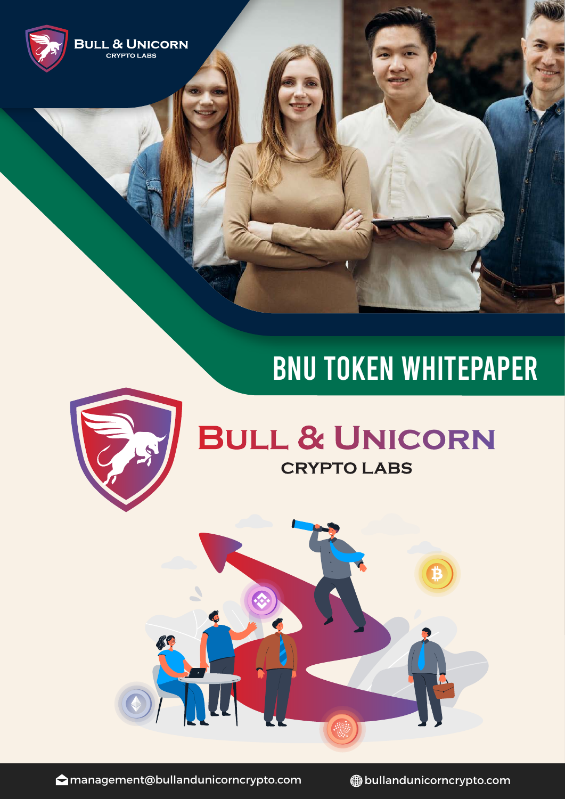

# BNU TOKEN WHITEPAPER



## BULL & UNICORN **CRYPTO LABS**



**△**management@bullandunicorncrypto.com ● ● bullandunicorncrypto.com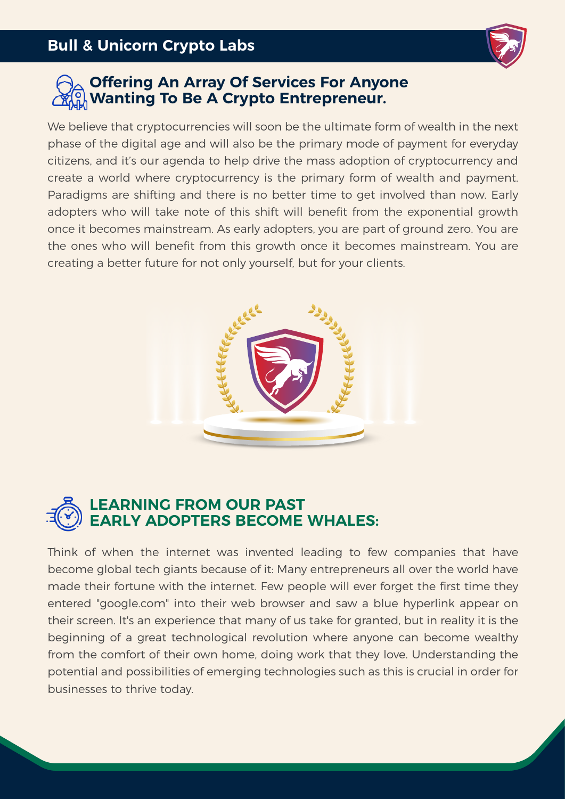

## **Offering An Array Of Services For Anyone Wanting To Be A Crypto Entrepreneur.**

We believe that cryptocurrencies will soon be the ultimate form of wealth in the next phase of the digital age and will also be the primary mode of payment for everyday citizens, and it's our agenda to help drive the mass adoption of cryptocurrency and create a world where cryptocurrency is the primary form of wealth and payment. Paradigms are shifting and there is no better time to get involved than now. Early adopters who will take note of this shift will benefit from the exponential growth once it becomes mainstream. As early adopters, you are part of ground zero. You are the ones who will benefit from this growth once it becomes mainstream. You are creating a better future for not only yourself, but for your clients.





Think of when the internet was invented leading to few companies that have become global tech giants because of it: Many entrepreneurs all over the world have made their fortune with the internet. Few people will ever forget the first time they entered "google.com" into their web browser and saw a blue hyperlink appear on their screen. It's an experience that many of us take for granted, but in reality it is the beginning of a great technological revolution where anyone can become wealthy from the comfort of their own home, doing work that they love. Understanding the potential and possibilities of emerging technologies such as this is crucial in order for businesses to thrive today.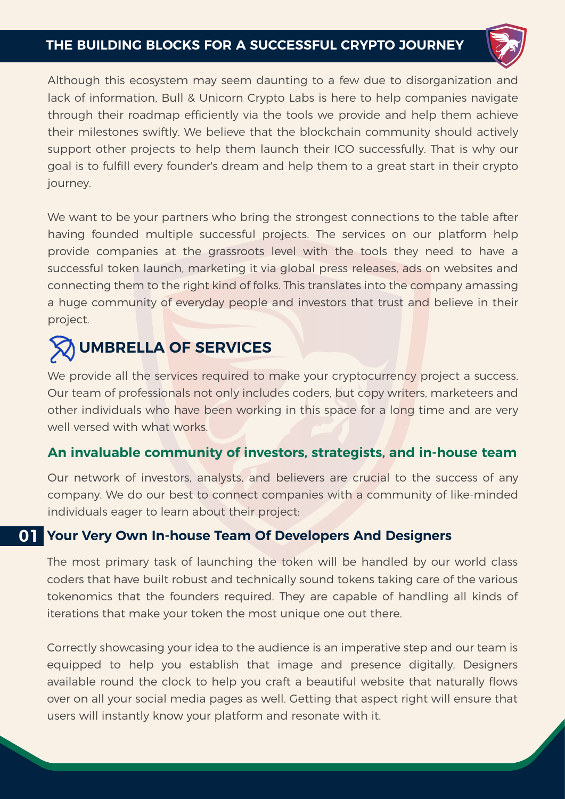#### **THE BUILDING BLOCKS FOR A SUCCESSFUL CRYPTO JOURNEY**



Although this ecosystem may seem daunting to a few due to disorganization and lack of information, Bull & Unicorn Crypto Labs is here to help companies navigate through their roadmap efficiently via the tools we provide and help them achieve their milestones swiftly. We believe that the blockchain community should actively support other projects to help them launch their ICO successfully. That is why our goal is to fulfill every founder's dream and help them to a great start in their crypto journey.

We want to be your partners who bring the strongest connections to the table after having founded multiple successful projects. The services on our platform help provide companies at the grassroots level with the tools they need to have a successful token launch, marketing it via global press releases, ads on websites and connecting them to the right kind of folks. This translates into the company amassing a huge community of everyday people and investors that trust and believe in their project.

## **UMBRELLA OF SERVICES**

We provide all the services required to make your cryptocurrency project a success. Our team of professionals not only includes coders, but copy writers, marketeers and other individuals who have been working in this space for a long time and are very well versed with what works.

#### **An invaluable community of investors, strategists, and in-house team**

Our network of investors, analysts, and believers are crucial to the success of any company. We do our best to connect companies with a community of like-minded individuals eager to learn about their project:

## **Your Very Own In-house Team Of Developers And Designers 01**

The most primary task of launching the token will be handled by our world class coders that have built robust and technically sound tokens taking care of the various tokenomics that the founders required. They are capable of handling all kinds of iterations that make your token the most unique one out there.

Correctly showcasing your idea to the audience is an imperative step and our team is equipped to help you establish that image and presence digitally. Designers available round the clock to help you craft a beautiful website that naturally flows over on all your social media pages as well. Getting that aspect right will ensure that users will instantly know your platform and resonate with it.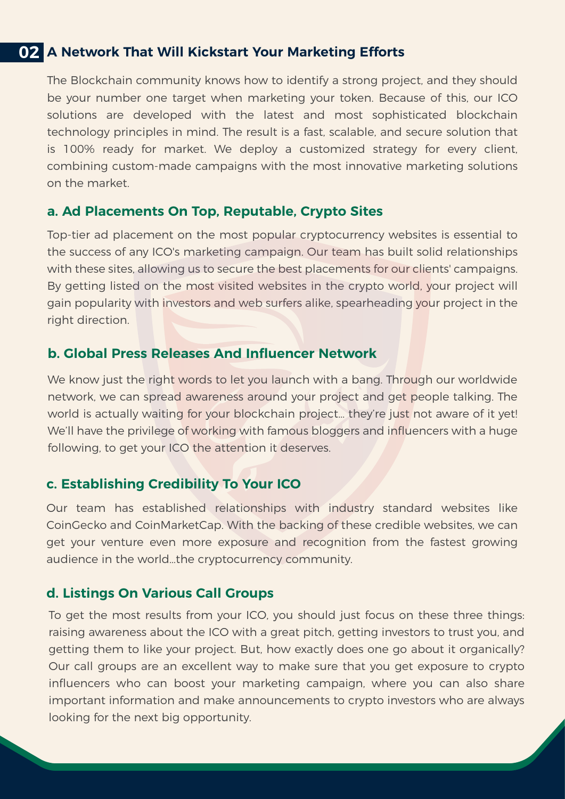#### **02 A Network That Will Kickstart Your Marketing Efforts**

The Blockchain community knows how to identify a strong project, and they should be your number one target when marketing your token. Because of this, our ICO solutions are developed with the latest and most sophisticated blockchain technology principles in mind. The result is a fast, scalable, and secure solution that is 100% ready for market. We deploy a customized strategy for every client, combining custom-made campaigns with the most innovative marketing solutions on the market.

#### **a. Ad Placements On Top, Reputable, Crypto Sites**

Top-tier ad placement on the most popular cryptocurrency websites is essential to the success of any ICO's marketing campaign. Our team has built solid relationships with these sites, allowing us to secure the best placements for our clients' campaigns. By getting listed on the most visited websites in the crypto world, your project will gain popularity with investors and web surfers alike, spearheading your project in the right direction.

#### **b. Global Press Releases And Influencer Network**

We know just the right words to let you launch with a bang. Through our worldwide network, we can spread awareness around your project and get people talking. The world is actually waiting for your blockchain project… they're just not aware of it yet! We'll have the privilege of working with famous bloggers and influencers with a huge following, to get your ICO the attention it deserves.

#### **c. Establishing Credibility To Your ICO**

Our team has established relationships with industry standard websites like CoinGecko and CoinMarketCap. With the backing of these credible websites, we can get your venture even more exposure and recognition from the fastest growing audience in the world…the cryptocurrency community.

#### **d. Listings On Various Call Groups**

To get the most results from your ICO, you should just focus on these three things: raising awareness about the ICO with a great pitch, getting investors to trust you, and getting them to like your project. But, how exactly does one go about it organically? Our call groups are an excellent way to make sure that you get exposure to crypto influencers who can boost your marketing campaign, where you can also share important information and make announcements to crypto investors who are always looking for the next big opportunity.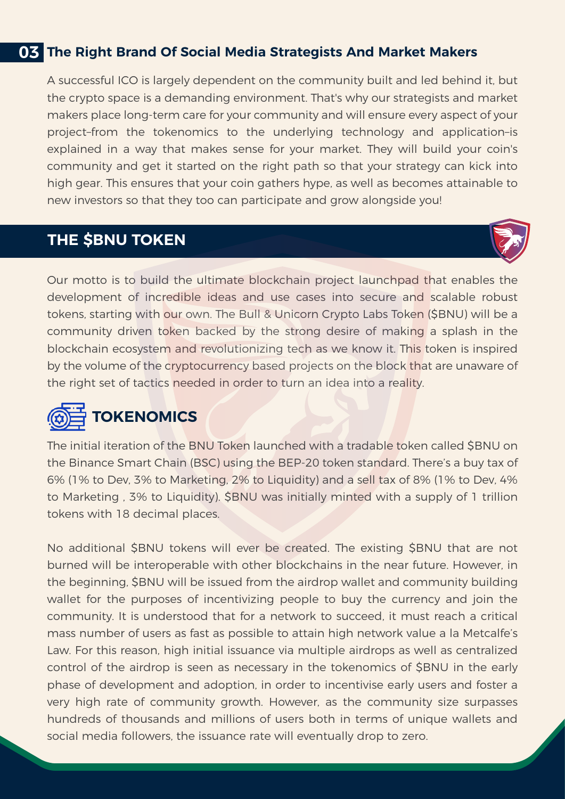## **03 The Right Brand Of Social Media Strategists And Market Makers**

A successful ICO is largely dependent on the community built and led behind it, but the crypto space is a demanding environment. That's why our strategists and market makers place long-term care for your community and will ensure every aspect of your project–from the tokenomics to the underlying technology and application–is explained in a way that makes sense for your market. They will build your coin's community and get it started on the right path so that your strategy can kick into high gear. This ensures that your coin gathers hype, as well as becomes attainable to new investors so that they too can participate and grow alongside you!

## **THE \$BNU TOKEN**



Our motto is to build the ultimate blockchain project launchpad that enables the development of incredible ideas and use cases into secure and scalable robust tokens, starting with our own. The Bull & Unicorn Crypto Labs Token (\$BNU) will be a community driven token backed by the strong desire of making a splash in the blockchain ecosystem and revolutionizing tech as we know it. This token is inspired by the volume of the cryptocurrency based projects on the block that are unaware of the right set of tactics needed in order to turn an idea into a reality.



## **TOKENOMICS**

The initial iteration of the BNU Token launched with a tradable token called \$BNU on the Binance Smart Chain (BSC) using the BEP-20 token standard. There's a buy tax of 6% (1% to Dev, 3% to Marketing, 2% to Liquidity) and a sell tax of 8% (1% to Dev, 4% to Marketing , 3% to Liquidity). \$BNU was initially minted with a supply of 1 trillion tokens with 18 decimal places.

No additional \$BNU tokens will ever be created. The existing \$BNU that are not burned will be interoperable with other blockchains in the near future. However, in the beginning, \$BNU will be issued from the airdrop wallet and community building wallet for the purposes of incentivizing people to buy the currency and join the community. It is understood that for a network to succeed, it must reach a critical mass number of users as fast as possible to attain high network value a la Metcalfe's Law. For this reason, high initial issuance via multiple airdrops as well as centralized control of the airdrop is seen as necessary in the tokenomics of \$BNU in the early phase of development and adoption, in order to incentivise early users and foster a very high rate of community growth. However, as the community size surpasses hundreds of thousands and millions of users both in terms of unique wallets and social media followers, the issuance rate will eventually drop to zero.